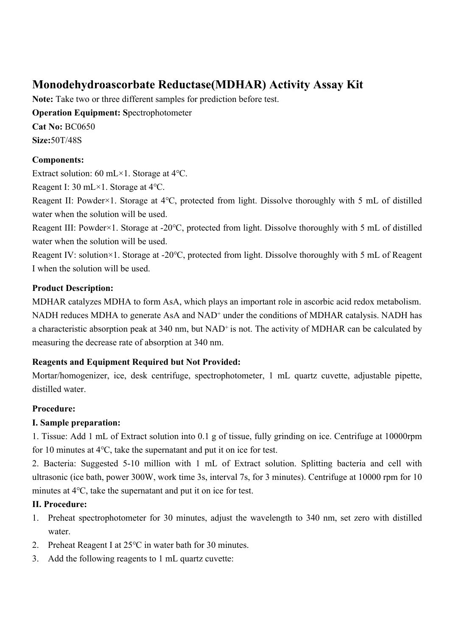# **Monodehydroascorbate Reductase(MDHAR) Activity Assay Kit**

**Note:** Take two or three different samples for prediction before test. **Operation Equipment: Spectrophotometer Cat No:** BC0650 **Size:**50T/48S

## **Components:**

Extract solution: 60 mL×1. Storage at 4℃.

Reagent I: 30 mL×1. Storage at 4℃.

Reagent II: Powder×1. Storage at 4℃, protected from light. Dissolve thoroughly with 5 mL of distilled water when the solution will be used.

Reagent III: Powder×1. Storage at -20℃, protected from light. Dissolve thoroughly with 5 mL of distilled water when the solution will be used.

Reagent IV: solution×1. Storage at -20℃, protected from light. Dissolve thoroughly with 5 mL of Reagent I when the solution will be used.

### **Product Description:**

MDHAR catalyzes MDHA to form AsA, which plays an important role in ascorbic acid redox metabolism. NADH reduces MDHA to generate AsA and NAD<sup>+</sup> under the conditions of MDHAR catalysis. NADH has a characteristic absorption peak at 340 nm, but NAD<sup>+</sup> is not. The activity of MDHAR can be calculated by measuring the decrease rate of absorption at 340 nm.

## **Reagents and Equipment Required but Not Provided:**

Mortar/homogenizer, ice, desk centrifuge, spectrophotometer, 1 mL quartz cuvette, adjustable pipette, distilled water.

## **Procedure:**

#### **I. Sample preparation:**

1. Tissue: Add 1 mL of Extract solution into 0.1 g of tissue, fully grinding on ice. Centrifuge at 10000rpm for 10 minutes at 4℃, take the supernatant and put it on ice for test.

2. Bacteria: Suggested 5-10 million with 1 mL of Extract solution. Splitting bacteria and cell with ultrasonic (ice bath, power 300W, work time 3s, interval 7s, for 3 minutes). Centrifuge at 10000 rpm for 10 minutes at 4℃, take the supernatant and put it on ice for test.

#### **II. Procedure:**

- 1. Preheat spectrophotometer for 30 minutes, adjust the wavelength to 340 nm, set zero with distilled water.
- 2. Preheat Reagent I at 25℃ in water bath for 30 minutes.
- 3. Add the following reagents to 1 mL quartz cuvette: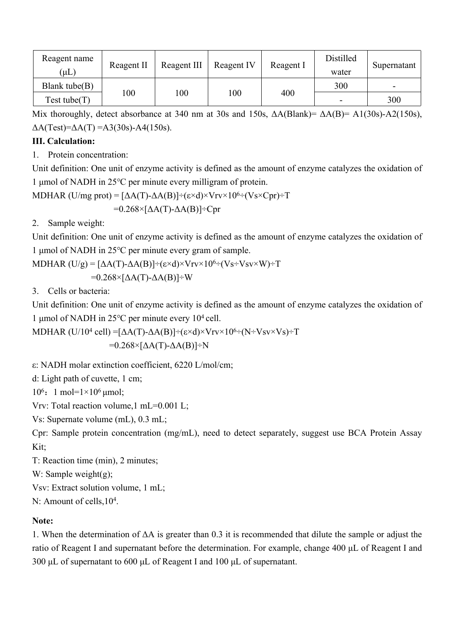| Reagent name      | Reagent II | Reagent III | Reagent IV | Reagent I | Distilled | Supernatant |
|-------------------|------------|-------------|------------|-----------|-----------|-------------|
| $(\mu L)$         |            |             |            |           | water     |             |
| Blank tube $(B)$  | 100        | 100         | 100        | 400       | 300       | -           |
| $Test$ tube $(T)$ |            |             |            |           | -         | 300         |

Mix thoroughly, detect absorbance at 340 nm at 30s and 150s, ΔA(Blank)= ΔA(B)= A1(30s)-A2(150s),  $\Delta A(Test)=\Delta A(T)=A3(30s) - A4(150s).$ 

#### **III. Calculation:**

1. Protein concentration:

Unit definition: One unit of enzyme activity is defined as the amount of enzyme catalyzes the oxidation of 1 μmol of NADH in 25℃ per minute every milligram of protein.

MDHAR (U/mg prot) =  $[\Delta A(T) - \Delta A(B)] \div (\varepsilon \times d) \times V_T v \times 10^{6} \div (V_S \times Cpr) \div T$  $=0.268\times[\Delta A(T)-\Delta A(B)]+Cpr$ 

2. Sample weight:

Unit definition: One unit of enzyme activity is defined as the amount of enzyme catalyzes the oxidation of 1 μmol of NADH in 25℃ per minute every gram of sample.

MDHAR  $(U/g) = [\Delta A(T) - \Delta A(B)] \div (\epsilon \times d) \times V_{\text{TV}} \times 10^{6} \div (V_S \div V_{\text{SV}} \times W) \div T$ 

 $=0.268\times[\Delta A(T)-\Delta A(B)]+W$ 

3. Cells or bacteria:

Unit definition: One unit of enzyme activity is defined as the amount of enzyme catalyzes the oxidation of 1 μmol of NADH in 25 $°C$  per minute every 10<sup>4</sup> cell.

MDHAR (U/10<sup>4</sup> cell) =[ΔA(T)-ΔA(B)]÷(ε×d)×Vrv×10<sup>6</sup>÷(N÷Vsv×Vs)÷T  $=0.268\times[\Delta A(T)-\Delta A(B)]-N$ 

ε: NADH molar extinction coefficient, 6220 L/mol/cm;

d: Light path of cuvette, 1 cm;

10<sup>6</sup>: 1 mol= $1\times10^6$  µmol;

Vrv: Total reaction volume,1 mL=0.001 L;

Vs: Supernate volume (mL), 0.3 mL;

Cpr: Sample protein concentration (mg/mL), need to detect separately, suggest use BCA Protein Assay Kit;

T: Reaction time (min), 2 minutes;

W: Sample weight(g);

Vsv: Extract solution volume, 1 mL;

N: Amount of cells,  $10<sup>4</sup>$ .

## **Note:**

1. When the determination of ΔA is greater than 0.3 it is recommended that dilute the sample or adjust the ratio of Reagent I and supernatant before the determination. For example, change 400 μL of Reagent I and 300 μL of supernatant to 600 μL of Reagent I and 100 μL of supernatant.